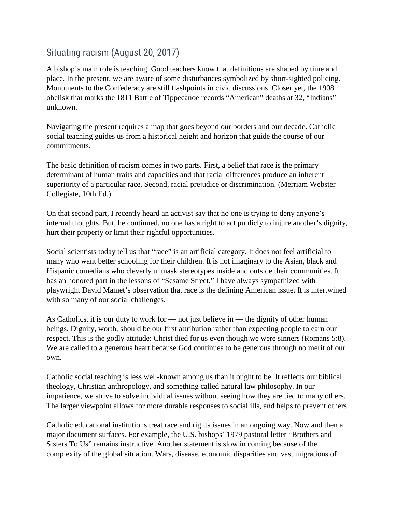## Situating racism (August 20, 2017)

A bishop's main role is teaching. Good teachers know that definitions are shaped by time and place. In the present, we are aware of some disturbances symbolized by short-sighted policing. Monuments to the Confederacy are still flashpoints in civic discussions. Closer yet, the 1908 obelisk that marks the 1811 Battle of Tippecanoe records "American" deaths at 32, "Indians" unknown.

Navigating the present requires a map that goes beyond our borders and our decade. Catholic social teaching guides us from a historical height and horizon that guide the course of our commitments.

The basic definition of racism comes in two parts. First, a belief that race is the primary determinant of human traits and capacities and that racial differences produce an inherent superiority of a particular race. Second, racial prejudice or discrimination. (Merriam Webster Collegiate, 10th Ed.)

On that second part, I recently heard an activist say that no one is trying to deny anyone's internal thoughts. But, he continued, no one has a right to act publicly to injure another's dignity, hurt their property or limit their rightful opportunities.

Social scientists today tell us that "race" is an artificial category. It does not feel artificial to many who want better schooling for their children. It is not imaginary to the Asian, black and Hispanic comedians who cleverly unmask stereotypes inside and outside their communities. It has an honored part in the lessons of "Sesame Street." I have always sympathized with playwright David Mamet's observation that race is the defining American issue. It is intertwined with so many of our social challenges.

As Catholics, it is our duty to work for — not just believe in — the dignity of other human beings. Dignity, worth, should be our first attribution rather than expecting people to earn our respect. This is the godly attitude: Christ died for us even though we were sinners (Romans 5:8). We are called to a generous heart because God continues to be generous through no merit of our own.

Catholic social teaching is less well-known among us than it ought to be. It reflects our biblical theology, Christian anthropology, and something called natural law philosophy. In our impatience, we strive to solve individual issues without seeing how they are tied to many others. The larger viewpoint allows for more durable responses to social ills, and helps to prevent others.

Catholic educational institutions treat race and rights issues in an ongoing way. Now and then a major document surfaces. For example, the U.S. bishops' 1979 pastoral letter "Brothers and Sisters To Us" remains instructive. Another statement is slow in coming because of the complexity of the global situation. Wars, disease, economic disparities and vast migrations of